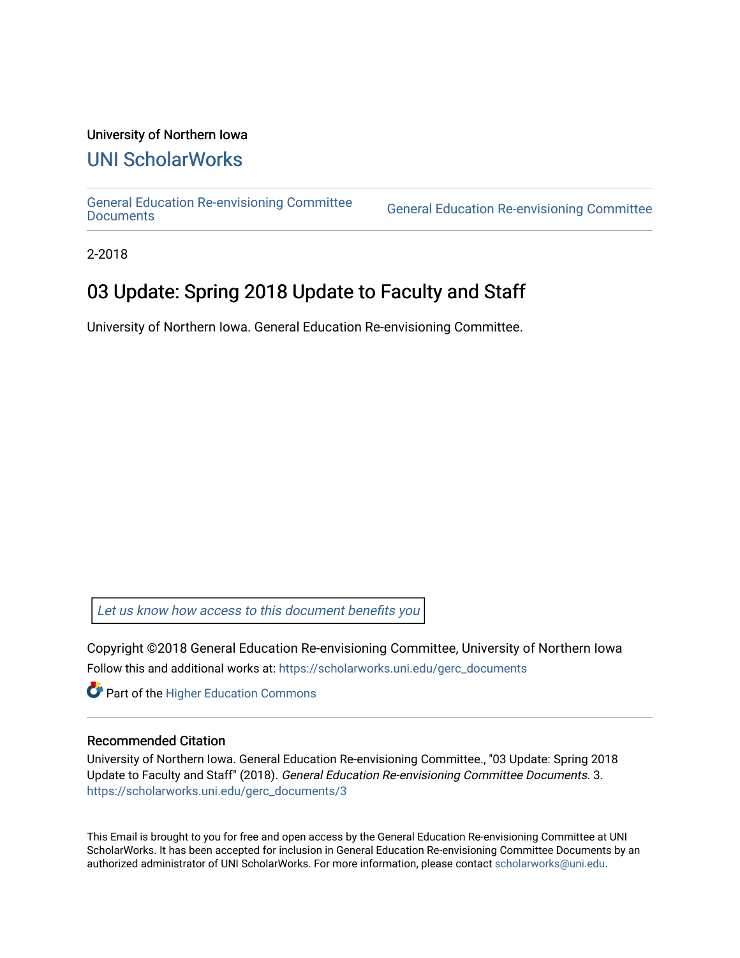## University of Northern Iowa

## [UNI ScholarWorks](https://scholarworks.uni.edu/)

[General Education Re-envisioning Committee](https://scholarworks.uni.edu/gerc_documents) 

**General Education Re-envisioning Committee** 

2-2018

## 03 Update: Spring 2018 Update to Faculty and Staff

University of Northern Iowa. General Education Re-envisioning Committee.

[Let us know how access to this document benefits you](https://scholarworks.uni.edu/feedback_form.html) 

Copyright ©2018 General Education Re-envisioning Committee, University of Northern Iowa Follow this and additional works at: [https://scholarworks.uni.edu/gerc\\_documents](https://scholarworks.uni.edu/gerc_documents?utm_source=scholarworks.uni.edu%2Fgerc_documents%2F3&utm_medium=PDF&utm_campaign=PDFCoverPages)

**Part of the Higher Education Commons** 

## Recommended Citation

University of Northern Iowa. General Education Re-envisioning Committee., "03 Update: Spring 2018 Update to Faculty and Staff" (2018). General Education Re-envisioning Committee Documents. 3. [https://scholarworks.uni.edu/gerc\\_documents/3](https://scholarworks.uni.edu/gerc_documents/3?utm_source=scholarworks.uni.edu%2Fgerc_documents%2F3&utm_medium=PDF&utm_campaign=PDFCoverPages)

This Email is brought to you for free and open access by the General Education Re-envisioning Committee at UNI ScholarWorks. It has been accepted for inclusion in General Education Re-envisioning Committee Documents by an authorized administrator of UNI ScholarWorks. For more information, please contact [scholarworks@uni.edu.](mailto:scholarworks@uni.edu)